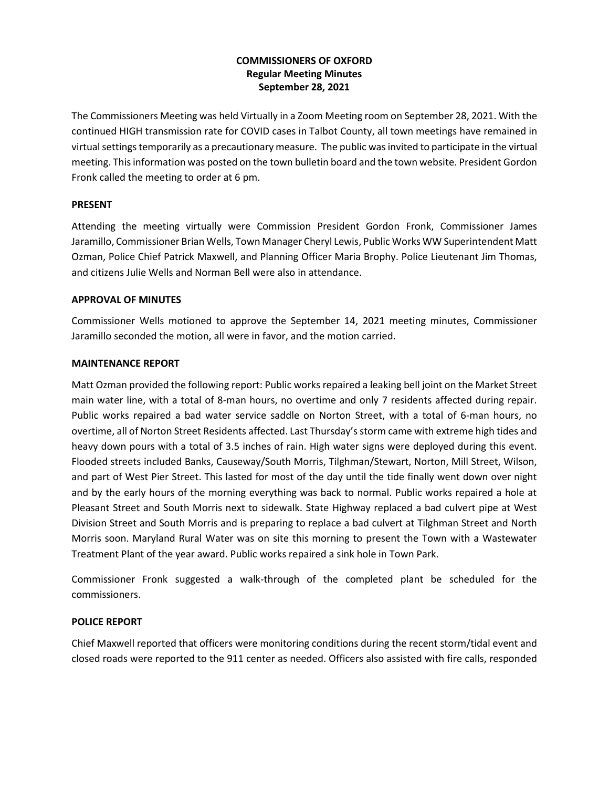# **COMMISSIONERS OF OXFORD Regular Meeting Minutes September 28, 2021**

The Commissioners Meeting was held Virtually in a Zoom Meeting room on September 28, 2021. With the continued HIGH transmission rate for COVID cases in Talbot County, all town meetings have remained in virtual settingstemporarily as a precautionary measure. The public was invited to participate in the virtual meeting. This information was posted on the town bulletin board and the town website. President Gordon Fronk called the meeting to order at 6 pm.

## **PRESENT**

Attending the meeting virtually were Commission President Gordon Fronk, Commissioner James Jaramillo, Commissioner Brian Wells, Town Manager Cheryl Lewis, Public Works WW Superintendent Matt Ozman, Police Chief Patrick Maxwell, and Planning Officer Maria Brophy. Police Lieutenant Jim Thomas, and citizens Julie Wells and Norman Bell were also in attendance.

## **APPROVAL OF MINUTES**

Commissioner Wells motioned to approve the September 14, 2021 meeting minutes, Commissioner Jaramillo seconded the motion, all were in favor, and the motion carried.

## **MAINTENANCE REPORT**

Matt Ozman provided the following report: Public works repaired a leaking bell joint on the Market Street main water line, with a total of 8-man hours, no overtime and only 7 residents affected during repair. Public works repaired a bad water service saddle on Norton Street, with a total of 6-man hours, no overtime, all of Norton Street Residents affected. Last Thursday's storm came with extreme high tides and heavy down pours with a total of 3.5 inches of rain. High water signs were deployed during this event. Flooded streets included Banks, Causeway/South Morris, Tilghman/Stewart, Norton, Mill Street, Wilson, and part of West Pier Street. This lasted for most of the day until the tide finally went down over night and by the early hours of the morning everything was back to normal. Public works repaired a hole at Pleasant Street and South Morris next to sidewalk. State Highway replaced a bad culvert pipe at West Division Street and South Morris and is preparing to replace a bad culvert at Tilghman Street and North Morris soon. Maryland Rural Water was on site this morning to present the Town with a Wastewater Treatment Plant of the year award. Public works repaired a sink hole in Town Park.

Commissioner Fronk suggested a walk-through of the completed plant be scheduled for the commissioners.

# **POLICE REPORT**

Chief Maxwell reported that officers were monitoring conditions during the recent storm/tidal event and closed roads were reported to the 911 center as needed. Officers also assisted with fire calls, responded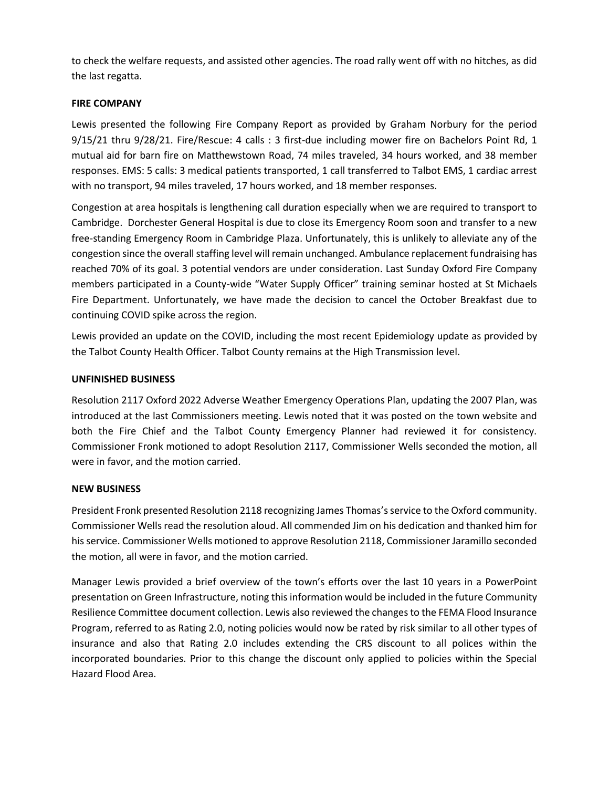to check the welfare requests, and assisted other agencies. The road rally went off with no hitches, as did the last regatta.

## **FIRE COMPANY**

Lewis presented the following Fire Company Report as provided by Graham Norbury for the period 9/15/21 thru 9/28/21. Fire/Rescue: 4 calls : 3 first-due including mower fire on Bachelors Point Rd, 1 mutual aid for barn fire on Matthewstown Road, 74 miles traveled, 34 hours worked, and 38 member responses. EMS: 5 calls: 3 medical patients transported, 1 call transferred to Talbot EMS, 1 cardiac arrest with no transport, 94 miles traveled, 17 hours worked, and 18 member responses.

Congestion at area hospitals is lengthening call duration especially when we are required to transport to Cambridge. Dorchester General Hospital is due to close its Emergency Room soon and transfer to a new free-standing Emergency Room in Cambridge Plaza. Unfortunately, this is unlikely to alleviate any of the congestion since the overall staffing level will remain unchanged. Ambulance replacement fundraising has reached 70% of its goal. 3 potential vendors are under consideration. Last Sunday Oxford Fire Company members participated in a County-wide "Water Supply Officer" training seminar hosted at St Michaels Fire Department. Unfortunately, we have made the decision to cancel the October Breakfast due to continuing COVID spike across the region.

Lewis provided an update on the COVID, including the most recent Epidemiology update as provided by the Talbot County Health Officer. Talbot County remains at the High Transmission level.

## **UNFINISHED BUSINESS**

Resolution 2117 Oxford 2022 Adverse Weather Emergency Operations Plan, updating the 2007 Plan, was introduced at the last Commissioners meeting. Lewis noted that it was posted on the town website and both the Fire Chief and the Talbot County Emergency Planner had reviewed it for consistency. Commissioner Fronk motioned to adopt Resolution 2117, Commissioner Wells seconded the motion, all were in favor, and the motion carried.

## **NEW BUSINESS**

President Fronk presented Resolution 2118 recognizing James Thomas'sservice to the Oxford community. Commissioner Wells read the resolution aloud. All commended Jim on his dedication and thanked him for his service. Commissioner Wells motioned to approve Resolution 2118, Commissioner Jaramillo seconded the motion, all were in favor, and the motion carried.

Manager Lewis provided a brief overview of the town's efforts over the last 10 years in a PowerPoint presentation on Green Infrastructure, noting this information would be included in the future Community Resilience Committee document collection. Lewis also reviewed the changes to the FEMA Flood Insurance Program, referred to as Rating 2.0, noting policies would now be rated by risk similar to all other types of insurance and also that Rating 2.0 includes extending the CRS discount to all polices within the incorporated boundaries. Prior to this change the discount only applied to policies within the Special Hazard Flood Area.